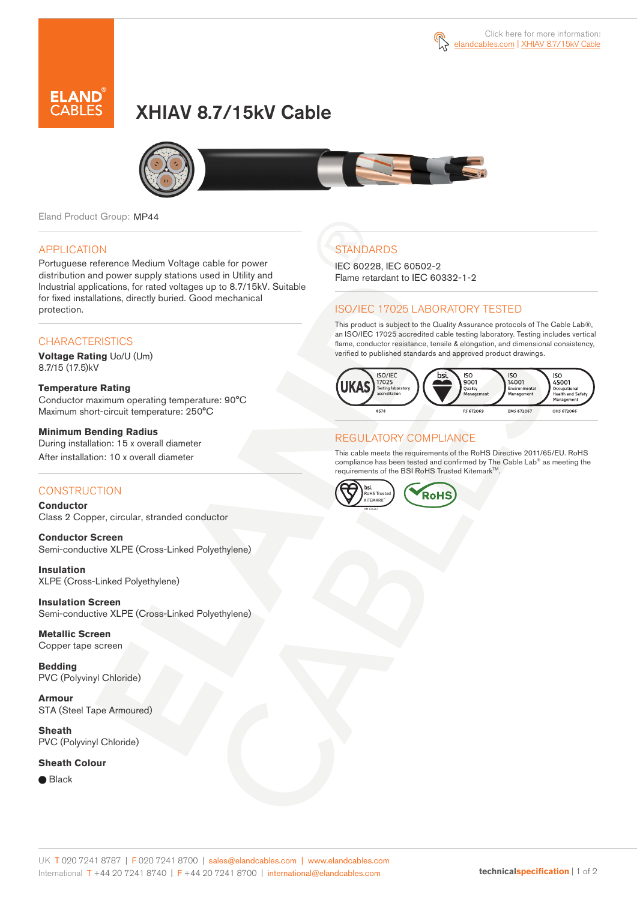

# XHIAV 8.7/15kV Cable



Eland Product Group: MP44

#### APPLICATION

Portuguese reference Medium Voltage cable for power distribution and power supply stations used in Utility and Industrial applications, for rated voltages up to 8.7/15kV. Suitable for fixed installations, directly buried. Good mechanical protection.

#### **CHARACTERISTICS**

**Voltage Rating** Uo/U (Um) 8.7/15 (17.5)kV

## **Temperature Rating**

Conductor maximum operating temperature: 90°C Maximum short-circuit temperature: 250°C

#### **Minimum Bending Radius**

During installation: 15 x overall diameter After installation: 10 x overall diameter

#### **CONSTRUCTION**

**Conductor**  Class 2 Copper, circular, stranded conductor

**Conductor Screen** Semi-conductive XLPE (Cross-Linked Polyethylene)

**Insulation** XLPE (Cross-Linked Polyethylene)

**Insulation Screen** Semi-conductive XLPE (Cross-Linked Polyethylene)

**Metallic Screen**  Copper tape screen

**Bedding** PVC (Polyvinyl Chloride)

**Armour** STA (Steel Tape Armoured)

**Sheath** PVC (Polyvinyl Chloride)

#### **Sheath Colour**

● Black

## **STANDARDS**

IEC 60228, IEC 60502-2 Flame retardant to IEC 60332-1-2

### ISO/IEC 17025 LABORATORY TESTED

This product is subject to the Quality Assurance protocols of The Cable Lab®, an ISO/IEC 17025 accredited cable testing laboratory. Testing includes vertical flame, conductor resistance, tensile & elongation, and dimensional consistency, verified to published standards and approved product drawings.



### REGULATORY COMPLIANCE

This cable meets the requirements of the RoHS Directive 2011/65/EU. RoHS compliance has been tested and confirmed by The Cable Lab® as meeting the requirements of the BSI RoHS Trusted Kitemark™.